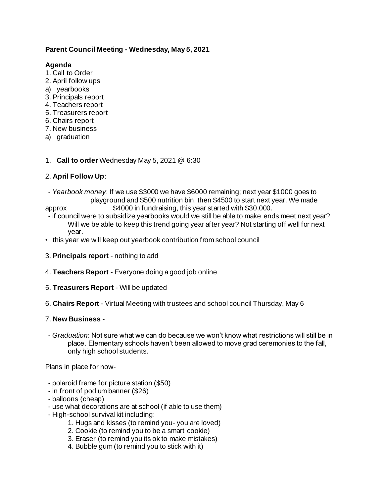### **Parent Council Meeting - Wednesday, May 5, 2021**

#### **Agenda**

- 1. Call to Order
- 2. April follow ups
- a) yearbooks
- 3. Principals report
- 4. Teachers report
- 5. Treasurers report
- 6. Chairs report
- 7. New business
- a) graduation
- 1. **Call to order** Wednesday May 5, 2021 @ 6:30

# 2. **April Follow Up**:

- *Yearbook money*: If we use \$3000 we have \$6000 remaining; next year \$1000 goes to playground and \$500 nutrition bin, then \$4500 to start next year. We made approx \$4000 in fundraising, this year started with \$30,000.
- 
- if council were to subsidize yearbooks would we still be able to make ends meet next year? Will we be able to keep this trend going year after year? Not starting off well for next year.
- this year we will keep out yearbook contribution from school council
- 3. **Principals report** nothing to add
- 4. **Teachers Report** Everyone doing a good job online
- 5. **Treasurers Report** Will be updated
- 6. **Chairs Report** Virtual Meeting with trustees and school council Thursday, May 6

### 7. **New Business** -

- *Graduation*: Not sure what we can do because we won't know what restrictions will still be in place. Elementary schools haven't been allowed to move grad ceremonies to the fall, only high school students.

Plans in place for now-

- polaroid frame for picture station (\$50)
- in front of podium banner (\$26)
- balloons (cheap)
- use what decorations are at school (if able to use them)
- High-school survival kit including:
	- 1. Hugs and kisses (to remind you- you are loved)
	- 2. Cookie (to remind you to be a smart cookie)
	- 3. Eraser (to remind you its ok to make mistakes)
	- 4. Bubble gum (to remind you to stick with it)